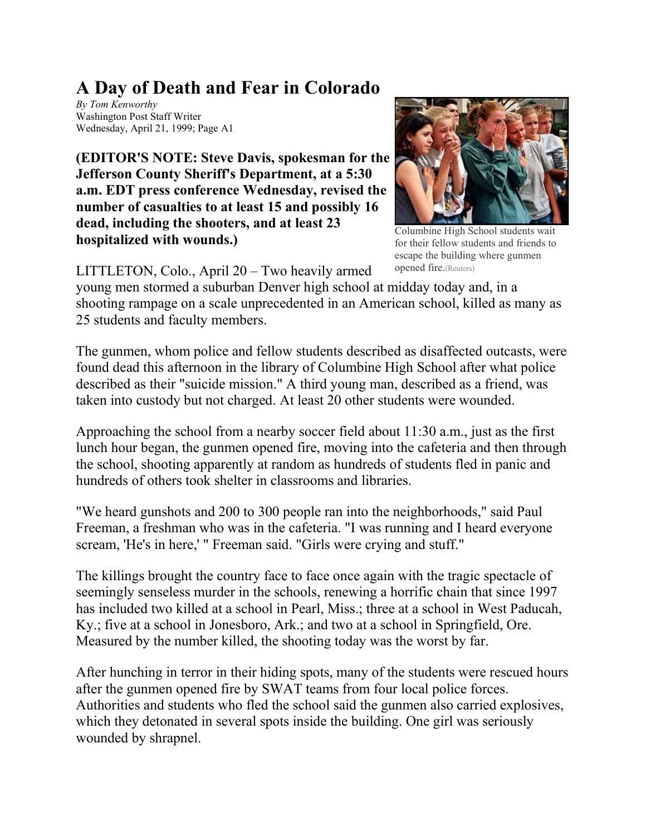## **A Day of Death and Fear in Colorado**

*By Tom Kenworthy* Washington Post Staff Writer Wednesday, April 21, 1999; Page A1

**(EDITOR'S NOTE: Steve Davis, spokesman for the Jefferson County Sheriff's Department, at a 5:30 a.m. EDT press conference Wednesday, revised the number of casualties to at least 15 and possibly 16 dead, including the shooters, and at least 23 hospitalized with wounds.)**



Columbine High School students wait for their fellow students and friends to escape the building where gunmen opened fire.(Reuters)

LITTLETON, Colo., April 20 – Two heavily armed

young men stormed a suburban Denver high school at midday today and, in a shooting rampage on a scale unprecedented in an American school, killed as many as 25 students and faculty members.

The gunmen, whom police and fellow students described as disaffected outcasts, were found dead this afternoon in the library of Columbine High School after what police described as their "suicide mission." A third young man, described as a friend, was taken into custody but not charged. At least 20 other students were wounded.

Approaching the school from a nearby soccer field about 11:30 a.m., just as the first lunch hour began, the gunmen opened fire, moving into the cafeteria and then through the school, shooting apparently at random as hundreds of students fled in panic and hundreds of others took shelter in classrooms and libraries.

"We heard gunshots and 200 to 300 people ran into the neighborhoods," said Paul Freeman, a freshman who was in the cafeteria. "I was running and I heard everyone scream, 'He's in here,' " Freeman said. "Girls were crying and stuff."

The killings brought the country face to face once again with the tragic spectacle of seemingly senseless murder in the schools, renewing a horrific chain that since 1997 has included two killed at a school in Pearl, Miss.; three at a school in West Paducah, Ky.; five at a school in Jonesboro, Ark.; and two at a school in Springfield, Ore. Measured by the number killed, the shooting today was the worst by far.

After hunching in terror in their hiding spots, many of the students were rescued hours after the gunmen opened fire by SWAT teams from four local police forces. Authorities and students who fled the school said the gunmen also carried explosives, which they detonated in several spots inside the building. One girl was seriously wounded by shrapnel.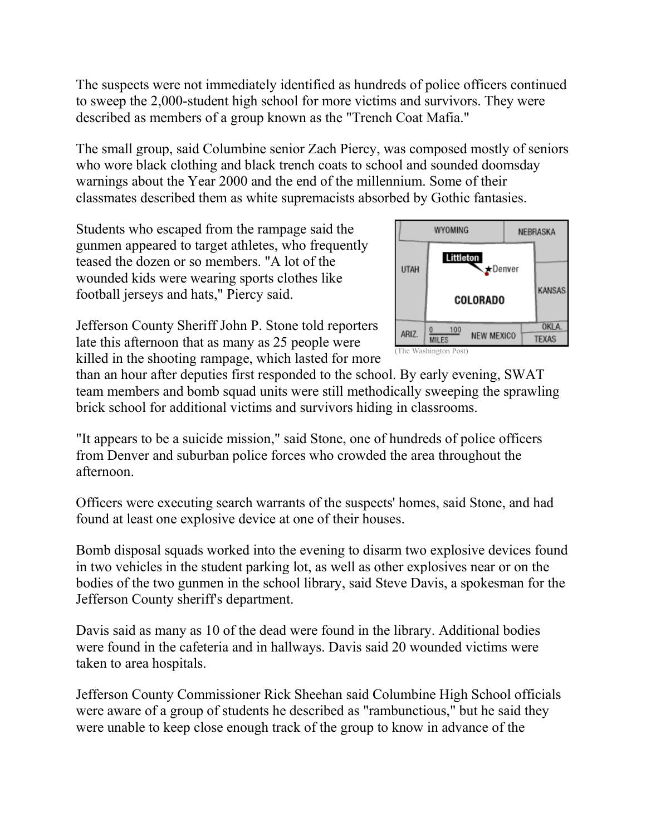The suspects were not immediately identified as hundreds of police officers continued to sweep the 2,000-student high school for more victims and survivors. They were described as members of a group known as the "Trench Coat Mafia."

The small group, said Columbine senior Zach Piercy, was composed mostly of seniors who wore black clothing and black trench coats to school and sounded doomsday warnings about the Year 2000 and the end of the millennium. Some of their classmates described them as white supremacists absorbed by Gothic fantasies.

Students who escaped from the rampage said the gunmen appeared to target athletes, who frequently teased the dozen or so members. "A lot of the wounded kids were wearing sports clothes like football jerseys and hats," Piercy said.



Jefferson County Sheriff John P. Stone told reporters late this afternoon that as many as 25 people were killed in the shooting rampage, which lasted for more

than an hour after deputies first responded to the school. By early evening, SWAT team members and bomb squad units were still methodically sweeping the sprawling brick school for additional victims and survivors hiding in classrooms.

"It appears to be a suicide mission," said Stone, one of hundreds of police officers from Denver and suburban police forces who crowded the area throughout the afternoon.

Officers were executing search warrants of the suspects' homes, said Stone, and had found at least one explosive device at one of their houses.

Bomb disposal squads worked into the evening to disarm two explosive devices found in two vehicles in the student parking lot, as well as other explosives near or on the bodies of the two gunmen in the school library, said Steve Davis, a spokesman for the Jefferson County sheriff's department.

Davis said as many as 10 of the dead were found in the library. Additional bodies were found in the cafeteria and in hallways. Davis said 20 wounded victims were taken to area hospitals.

Jefferson County Commissioner Rick Sheehan said Columbine High School officials were aware of a group of students he described as "rambunctious," but he said they were unable to keep close enough track of the group to know in advance of the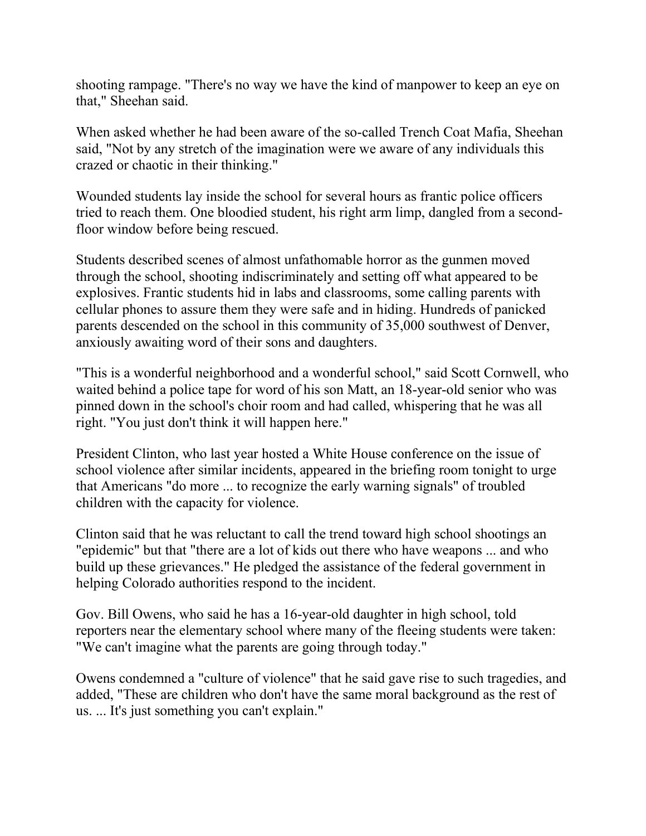shooting rampage. "There's no way we have the kind of manpower to keep an eye on that," Sheehan said.

When asked whether he had been aware of the so-called Trench Coat Mafia, Sheehan said, "Not by any stretch of the imagination were we aware of any individuals this crazed or chaotic in their thinking."

Wounded students lay inside the school for several hours as frantic police officers tried to reach them. One bloodied student, his right arm limp, dangled from a secondfloor window before being rescued.

Students described scenes of almost unfathomable horror as the gunmen moved through the school, shooting indiscriminately and setting off what appeared to be explosives. Frantic students hid in labs and classrooms, some calling parents with cellular phones to assure them they were safe and in hiding. Hundreds of panicked parents descended on the school in this community of 35,000 southwest of Denver, anxiously awaiting word of their sons and daughters.

"This is a wonderful neighborhood and a wonderful school," said Scott Cornwell, who waited behind a police tape for word of his son Matt, an 18-year-old senior who was pinned down in the school's choir room and had called, whispering that he was all right. "You just don't think it will happen here."

President Clinton, who last year hosted a White House conference on the issue of school violence after similar incidents, appeared in the briefing room tonight to urge that Americans "do more ... to recognize the early warning signals" of troubled children with the capacity for violence.

Clinton said that he was reluctant to call the trend toward high school shootings an "epidemic" but that "there are a lot of kids out there who have weapons ... and who build up these grievances." He pledged the assistance of the federal government in helping Colorado authorities respond to the incident.

Gov. Bill Owens, who said he has a 16-year-old daughter in high school, told reporters near the elementary school where many of the fleeing students were taken: "We can't imagine what the parents are going through today."

Owens condemned a "culture of violence" that he said gave rise to such tragedies, and added, "These are children who don't have the same moral background as the rest of us. ... It's just something you can't explain."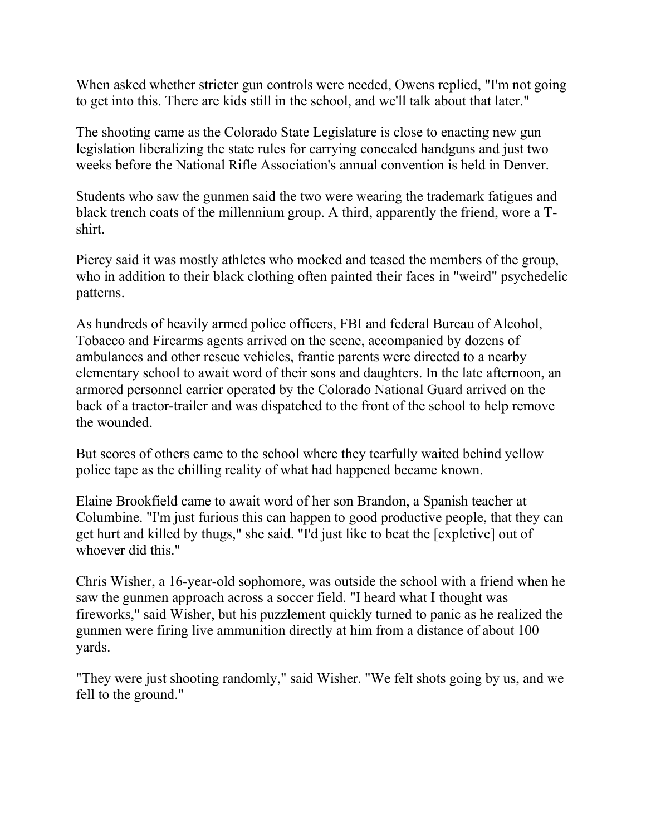When asked whether stricter gun controls were needed, Owens replied, "I'm not going to get into this. There are kids still in the school, and we'll talk about that later."

The shooting came as the Colorado State Legislature is close to enacting new gun legislation liberalizing the state rules for carrying concealed handguns and just two weeks before the National Rifle Association's annual convention is held in Denver.

Students who saw the gunmen said the two were wearing the trademark fatigues and black trench coats of the millennium group. A third, apparently the friend, wore a Tshirt.

Piercy said it was mostly athletes who mocked and teased the members of the group, who in addition to their black clothing often painted their faces in "weird" psychedelic patterns.

As hundreds of heavily armed police officers, FBI and federal Bureau of Alcohol, Tobacco and Firearms agents arrived on the scene, accompanied by dozens of ambulances and other rescue vehicles, frantic parents were directed to a nearby elementary school to await word of their sons and daughters. In the late afternoon, an armored personnel carrier operated by the Colorado National Guard arrived on the back of a tractor-trailer and was dispatched to the front of the school to help remove the wounded.

But scores of others came to the school where they tearfully waited behind yellow police tape as the chilling reality of what had happened became known.

Elaine Brookfield came to await word of her son Brandon, a Spanish teacher at Columbine. "I'm just furious this can happen to good productive people, that they can get hurt and killed by thugs," she said. "I'd just like to beat the [expletive] out of whoever did this."

Chris Wisher, a 16-year-old sophomore, was outside the school with a friend when he saw the gunmen approach across a soccer field. "I heard what I thought was fireworks," said Wisher, but his puzzlement quickly turned to panic as he realized the gunmen were firing live ammunition directly at him from a distance of about 100 yards.

"They were just shooting randomly," said Wisher. "We felt shots going by us, and we fell to the ground."